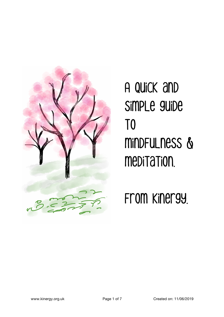

A quick and simple guide T<sub>0</sub> mindfulness & meditation.

from Kinergy.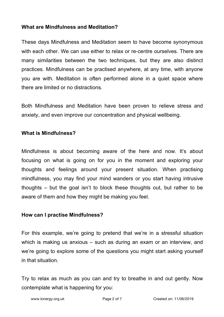### **What are Mindfulness and Meditation?**

These days Mindfulness and Meditation seem to have become synonymous with each other. We can use either to relax or re-centre ourselves. There are many similarities between the two techniques, but they are also distinct practices. Mindfulness can be practised anywhere, at any time, with anyone you are with. Meditation is often performed alone in a quiet space where there are limited or no distractions.

Both Mindfulness and Meditation have been proven to relieve stress and anxiety, and even improve our concentration and physical wellbeing.

## **What is Mindfulness?**

Mindfulness is about becoming aware of the here and now. It's about focusing on what is going on for you in the moment and exploring your thoughts and feelings around your present situation. When practising mindfulness, you may find your mind wanders or you start having intrusive thoughts – but the goal isn't to block these thoughts out, but rather to be aware of them and how they might be making you feel.

### **How can I practise Mindfulness?**

For this example, we're going to pretend that we're in a stressful situation which is making us anxious – such as during an exam or an interview, and we're going to explore some of the questions you might start asking yourself in that situation.

Try to relax as much as you can and try to breathe in and out gently. Now contemplate what is happening for you: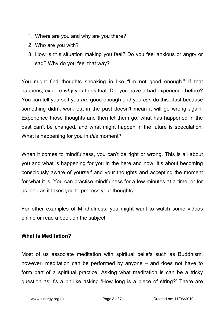- 1. Where are you and why are you there?
- 2. Who are you with?
- 3. How is this situation making you feel? Do you feel anxious or angry or sad? Why do you feel that way?

You might find thoughts sneaking in like "I'm not good enough." If that happens, explore *why* you think that. Did you have a bad experience before? You can tell yourself you *are* good enough and you *can* do this. Just because something didn't work out in the past doesn't mean it will go wrong again. Experience those thoughts and then let them go: what has happened in the past can't be changed, and what might happen in the future is speculation. What is happening for you in *this* moment?

When it comes to mindfulness, you can't be right or wrong. This is all about you and what is happening for you in the here and now. It's about becoming consciously aware of yourself and your thoughts and accepting the moment for what it is. You can practise mindfulness for a few minutes at a time, or for as long as it takes you to process your thoughts.

For other examples of Mindfulness, you might want to watch some videos online or read a book on the subject.

# **What is Meditation?**

Most of us associate meditation with spiritual beliefs such as Buddhism, however, meditation can be performed by anyone – and does not have to form part of a spiritual practice. Asking what meditation is can be a tricky question as it's a bit like asking 'How long is a piece of string?' There are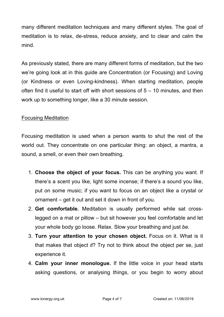many different meditation techniques and many different styles. The goal of meditation is to relax, de-stress, reduce anxiety, and to clear and calm the mind.

As previously stated, there are many different forms of meditation, but the two we're going look at in this guide are Concentration (or Focusing) and Loving (or Kindness or even Loving-kindness). When starting meditation, people often find it useful to start off with short sessions of 5 – 10 minutes, and then work up to something longer, like a 30 minute session.

### Focusing Meditation

Focusing meditation is used when a person wants to shut the rest of the world out. They concentrate on one particular thing: an object, a mantra, a sound, a smell, or even their own breathing.

- 1. **Choose the object of your focus.** This can be anything you want. If there's a scent you like, light some incense; if there's a sound you like, put on some music; if you want to focus on an object like a crystal or ornament – get it out and set it down in front of you.
- 2. **Get comfortable.** Meditation is usually performed while sat crosslegged on a mat or pillow – but sit however you feel comfortable and let your whole body go loose. Relax. Slow your breathing and just *be*.
- 3. **Turn your attention to your chosen object.** Focus on it. What is it that makes that object *it*? Try not to think about the object per se, just experience it.
- 4. **Calm your inner monologue.** If the little voice in your head starts asking questions, or analysing things, or you begin to worry about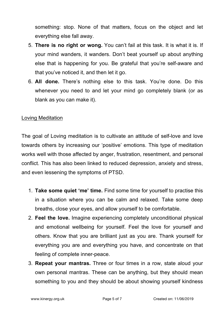something: stop. None of that matters, focus on the object and let everything else fall away.

- 5. **There is no right or wong.** You can't fail at this task. It is what it is. If your mind wanders, it wanders. Don't beat yourself up about anything else that is happening for you. Be grateful that you're self-aware and that you've noticed it, and then let it go.
- 6. **All done.** There's nothing else to this task. You're done. Do this whenever you need to and let your mind go completely blank (or as blank as you can make it).

#### Loving Meditation

The goal of Loving meditation is to cultivate an attitude of self-love and love towards others by increasing our 'positive' emotions. This type of meditation works well with those affected by anger, frustration, resentment, and personal conflict. This has also been linked to reduced depression, anxiety and stress, and even lessening the symptoms of PTSD.

- 1. **Take some quiet 'me' time.** Find some time for yourself to practise this in a situation where you can be calm and relaxed. Take some deep breaths, close your eyes, and allow yourself to be comfortable.
- 2. **Feel the love.** Imagine experiencing completely unconditional physical and emotional wellbeing for yourself. Feel the love for yourself and others. Know that you are brilliant just as you are. Thank yourself for everything you are and everything you have, and concentrate on that feeling of complete inner-peace.
- 3. **Repeat your mantras.** Three or four times in a row, state aloud your own personal mantras. These can be anything, but they should mean something to you and they should be about showing yourself kindness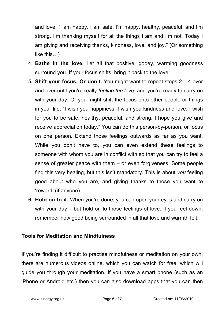and love. "I am happy. I am safe. I'm happy, healthy, peaceful, and I'm strong. I'm thanking myself for all the things I am and I'm not. Today I am giving and receiving thanks, kindness, love, and joy." (Or something like this…)

- 4. **Bathe in the love.** Let all that positive, gooey, warming goodness surround you. If your focus shifts, bring it back to the love!
- **5. Shift your focus. Or don't.** You might want to repeat steps 2 4 over and over until you're really *feeling the love*, and you're ready to carry on with your day. Or you might shift the focus onto other people or things in your life: "I wish you happiness. I wish you kindness and love. I wish for you to be safe, healthy, peaceful, and strong. I hope you give and receive appreciation today." You can do this person-by-person, or focus on one person. Extend those feelings outwards as far as you want. While you don't have to, you can even extend these feelings to someone with whom you are in conflict with so that you can try to feel a sense of greater peace with them – or even forgiveness. Some people find this very healing, but this isn't mandatory. This is about *you* feeling good about who you are, and giving thanks to those you want to 'reward' (if anyone).
- **6. Hold on to it.** When you're done, you can open your eyes and carry on with your day – but hold on to those feelings of love. If you feel down, remember how good being surrounded in all that love and warmth felt.

#### **Tools for Meditation and Mindfulness**

If you're finding it difficult to practise mindfulness or meditation on your own, there are numerous videos online, which you can watch for free, which will guide you through your meditation. If you have a smart phone (such as an iPhone or Android etc.) then you can also download apps that you can then